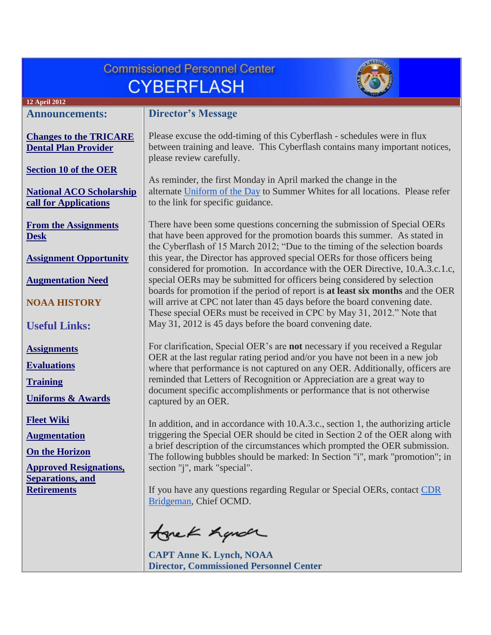| <b>Commissioned Personnel Center</b><br><b>CYBERFLASH</b>                                                                                                                                                                               |  |  |  |
|-----------------------------------------------------------------------------------------------------------------------------------------------------------------------------------------------------------------------------------------|--|--|--|
|                                                                                                                                                                                                                                         |  |  |  |
| <b>Director's Message</b>                                                                                                                                                                                                               |  |  |  |
| Please excuse the odd-timing of this Cyberflash - schedules were in flux<br>between training and leave. This Cyberflash contains many important notices,<br>please review carefully.                                                    |  |  |  |
| As reminder, the first Monday in April marked the change in the<br>alternate Uniform of the Day to Summer Whites for all locations. Please refer                                                                                        |  |  |  |
| to the link for specific guidance.                                                                                                                                                                                                      |  |  |  |
| There have been some questions concerning the submission of Special OERs<br>that have been approved for the promotion boards this summer. As stated in<br>the Cyberflash of 15 March 2012; "Due to the timing of the selection boards   |  |  |  |
| this year, the Director has approved special OERs for those officers being<br>considered for promotion. In accordance with the OER Directive, 10.A.3.c.1.c,                                                                             |  |  |  |
| special OERs may be submitted for officers being considered by selection                                                                                                                                                                |  |  |  |
| boards for promotion if the period of report is at least six months and the OER<br>will arrive at CPC not later than 45 days before the board convening date.<br>These special OERs must be received in CPC by May 31, 2012." Note that |  |  |  |
| May 31, 2012 is 45 days before the board convening date.                                                                                                                                                                                |  |  |  |
| For clarification, Special OER's are not necessary if you received a Regular<br>OER at the last regular rating period and/or you have not been in a new job                                                                             |  |  |  |
| where that performance is not captured on any OER. Additionally, officers are                                                                                                                                                           |  |  |  |
| reminded that Letters of Recognition or Appreciation are a great way to<br>document specific accomplishments or performance that is not otherwise                                                                                       |  |  |  |
| captured by an OER.                                                                                                                                                                                                                     |  |  |  |
| In addition, and in accordance with 10.A.3.c., section 1, the authorizing article                                                                                                                                                       |  |  |  |
| triggering the Special OER should be cited in Section 2 of the OER along with<br>a brief description of the circumstances which prompted the OER submission.                                                                            |  |  |  |
| The following bubbles should be marked: In Section "i", mark "promotion"; in                                                                                                                                                            |  |  |  |
| section "j", mark "special".                                                                                                                                                                                                            |  |  |  |
| If you have any questions regarding Regular or Special OERs, contact CDR<br>Bridgeman, Chief OCMD.                                                                                                                                      |  |  |  |
| tonek handr                                                                                                                                                                                                                             |  |  |  |
| <b>CAPT Anne K. Lynch, NOAA</b><br><b>Director, Commissioned Personnel Center</b>                                                                                                                                                       |  |  |  |
|                                                                                                                                                                                                                                         |  |  |  |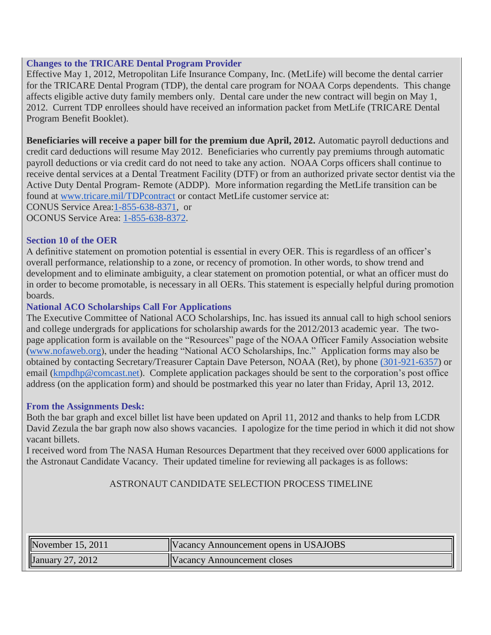### <span id="page-1-0"></span>**Changes to the TRICARE Dental Program Provider**

Effective May 1, 2012, Metropolitan Life Insurance Company, Inc. (MetLife) will become the dental carrier for the TRICARE Dental Program (TDP), the dental care program for NOAA Corps dependents. This change affects eligible active duty family members only. Dental care under the new contract will begin on May 1, 2012. Current TDP enrollees should have received an information packet from MetLife (TRICARE Dental Program Benefit Booklet).

**Beneficiaries will receive a paper bill for the premium due April, 2012.** Automatic payroll deductions and credit card deductions will resume May 2012. Beneficiaries who currently pay premiums through automatic payroll deductions or via credit card do not need to take any action. NOAA Corps officers shall continue to receive dental services at a Dental Treatment Facility (DTF) or from an authorized private sector dentist via the Active Duty Dental Program- Remote (ADDP). More information regarding the MetLife transition can be found at [www.tricare.mil/TDPcontract](http://www.tricare.mil/TDPcontract) or contact MetLife customer service at: CONUS Service Area[:1-855-638-8371,](tel:1-855-638-8371) or

OCONUS Service Area: [1-855-638-8372.](tel:1-855-638-8372)

### <span id="page-1-1"></span>**Section 10 of the OER**

A definitive statement on promotion potential is essential in every OER. This is regardless of an officer's overall performance, relationship to a zone, or recency of promotion. In other words, to show trend and development and to eliminate ambiguity, a clear statement on promotion potential, or what an officer must do in order to become promotable, is necessary in all OERs. This statement is especially helpful during promotion boards.

### <span id="page-1-2"></span>**National ACO Scholarships Call For Applications**

The Executive Committee of National ACO Scholarships, Inc. has issued its annual call to high school seniors and college undergrads for applications for scholarship awards for the 2012/2013 academic year. The twopage application form is available on the "Resources" page of the NOAA Officer Family Association website [\(www.nofaweb.org\)](http://www.nofaweb.org/), under the heading "National ACO Scholarships, Inc." Application forms may also be obtained by contacting Secretary/Treasurer Captain Dave Peterson, NOAA (Ret), by phone [\(301-921-6357\)](tel:%28301-921-6357) or email [\(kmpdhp@comcast.net\)](mailto:kmpdhp@comcast.net). Complete application packages should be sent to the corporation's post office address (on the application form) and should be postmarked this year no later than Friday, April 13, 2012.

### <span id="page-1-3"></span>**From the Assignments Desk:**

Both the bar graph and excel billet list have been updated on April 11, 2012 and thanks to help from LCDR David Zezula the bar graph now also shows vacancies. I apologize for the time period in which it did not show vacant billets.

I received word from The NASA Human Resources Department that they received over 6000 applications for the Astronaut Candidate Vacancy. Their updated timeline for reviewing all packages is as follows:

### ASTRONAUT CANDIDATE SELECTION PROCESS TIMELINE

| November 15, 2011 | <b>IVacancy Announcement opens in USAJOBS</b> |
|-------------------|-----------------------------------------------|
| January 27, 2012  | IV acancy Announcement closes                 |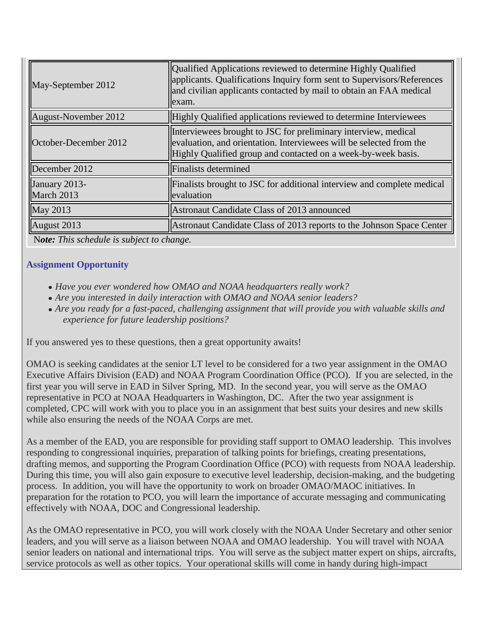| Qualified Applications reviewed to determine Highly Qualified<br>applicants. Qualifications Inquiry form sent to Supervisors/References<br>and civilian applicants contacted by mail to obtain an FAA medical<br>exam. |
|------------------------------------------------------------------------------------------------------------------------------------------------------------------------------------------------------------------------|
| Highly Qualified applications reviewed to determine Interviewees                                                                                                                                                       |
| Interviewees brought to JSC for preliminary interview, medical<br>evaluation, and orientation. Interviewees will be selected from the<br>Highly Qualified group and contacted on a week-by-week basis.                 |
| <b>Finalists determined</b>                                                                                                                                                                                            |
| Finalists brought to JSC for additional interview and complete medical<br>evaluation                                                                                                                                   |
| Astronaut Candidate Class of 2013 announced                                                                                                                                                                            |
| Astronaut Candidate Class of 2013 reports to the Johnson Space Center                                                                                                                                                  |
|                                                                                                                                                                                                                        |

N*ote: This schedule is subject to change.*

## <span id="page-2-0"></span>**Assignment Opportunity**

- *Have you ever wondered how OMAO and NOAA headquarters really work?*
- *Are you interested in daily interaction with OMAO and NOAA senior leaders?*
- *Are you ready for a fast-paced, challenging assignment that will provide you with valuable skills and experience for future leadership positions?*

If you answered yes to these questions, then a great opportunity awaits!

OMAO is seeking candidates at the senior LT level to be considered for a two year assignment in the OMAO Executive Affairs Division (EAD) and NOAA Program Coordination Office (PCO). If you are selected, in the first year you will serve in EAD in Silver Spring, MD. In the second year, you will serve as the OMAO representative in PCO at NOAA Headquarters in Washington, DC. After the two year assignment is completed, CPC will work with you to place you in an assignment that best suits your desires and new skills while also ensuring the needs of the NOAA Corps are met.

As a member of the EAD, you are responsible for providing staff support to OMAO leadership. This involves responding to congressional inquiries, preparation of talking points for briefings, creating presentations, drafting memos, and supporting the Program Coordination Office (PCO) with requests from NOAA leadership. During this time, you will also gain exposure to executive level leadership, decision-making, and the budgeting process. In addition, you will have the opportunity to work on broader OMAO/MAOC initiatives. In preparation for the rotation to PCO, you will learn the importance of accurate messaging and communicating effectively with NOAA, DOC and Congressional leadership.

As the OMAO representative in PCO, you will work closely with the NOAA Under Secretary and other senior leaders, and you will serve as a liaison between NOAA and OMAO leadership. You will travel with NOAA senior leaders on national and international trips. You will serve as the subject matter expert on ships, aircrafts, service protocols as well as other topics. Your operational skills will come in handy during high-impact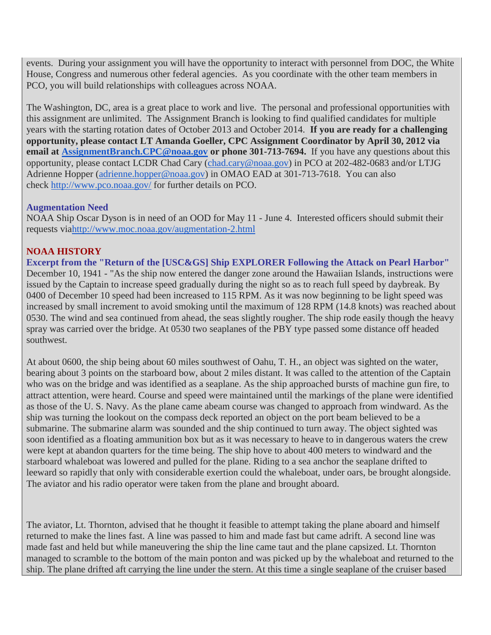events. During your assignment you will have the opportunity to interact with personnel from DOC, the White House, Congress and numerous other federal agencies. As you coordinate with the other team members in PCO, you will build relationships with colleagues across NOAA.

The Washington, DC, area is a great place to work and live. The personal and professional opportunities with this assignment are unlimited. The Assignment Branch is looking to find qualified candidates for multiple years with the starting rotation dates of October 2013 and October 2014. **If you are ready for a challenging opportunity, please contact LT Amanda Goeller, CPC Assignment Coordinator by April 30, 2012 via email at [AssignmentBranch.CPC@noaa.gov](mailto:AssignmentBranch.CPC@noaa.gov) or phone 301-713-7694.** If you have any questions about this opportunity, please contact LCDR Chad Cary [\(chad.cary@noaa.gov\)](mailto:chad.cary@noaa.gov) in PCO at 202-482-0683 and/or LTJG Adrienne Hopper [\(adrienne.hopper@noaa.gov\)](mailto:adrienne.hopper@noaa.gov) in OMAO EAD at 301-713-7618. You can also check <http://www.pco.noaa.gov/> for further details on PCO.

## <span id="page-3-0"></span>**Augmentation Need**

NOAA Ship Oscar Dyson is in need of an OOD for May 11 - June 4. Interested officers should submit their requests vi[ahttp://www.moc.noaa.gov/augmentation-2.html](http://www.moc.noaa.gov/augmentation-2.html)

# <span id="page-3-1"></span>**NOAA HISTORY**

**Excerpt from the "Return of the [USC&GS] Ship EXPLORER Following the Attack on Pearl Harbor"**  December 10, 1941 - "As the ship now entered the danger zone around the Hawaiian Islands, instructions were issued by the Captain to increase speed gradually during the night so as to reach full speed by daybreak. By 0400 of December 10 speed had been increased to 115 RPM. As it was now beginning to be light speed was increased by small increment to avoid smoking until the maximum of 128 RPM (14.8 knots) was reached about 0530. The wind and sea continued from ahead, the seas slightly rougher. The ship rode easily though the heavy spray was carried over the bridge. At 0530 two seaplanes of the PBY type passed some distance off headed southwest.

At about 0600, the ship being about 60 miles southwest of Oahu, T. H., an object was sighted on the water, bearing about 3 points on the starboard bow, about 2 miles distant. It was called to the attention of the Captain who was on the bridge and was identified as a seaplane. As the ship approached bursts of machine gun fire, to attract attention, were heard. Course and speed were maintained until the markings of the plane were identified as those of the U. S. Navy. As the plane came abeam course was changed to approach from windward. As the ship was turning the lookout on the compass deck reported an object on the port beam believed to be a submarine. The submarine alarm was sounded and the ship continued to turn away. The object sighted was soon identified as a floating ammunition box but as it was necessary to heave to in dangerous waters the crew were kept at abandon quarters for the time being. The ship hove to about 400 meters to windward and the starboard whaleboat was lowered and pulled for the plane. Riding to a sea anchor the seaplane drifted to leeward so rapidly that only with considerable exertion could the whaleboat, under oars, be brought alongside. The aviator and his radio operator were taken from the plane and brought aboard.

The aviator, Lt. Thornton, advised that he thought it feasible to attempt taking the plane aboard and himself returned to make the lines fast. A line was passed to him and made fast but came adrift. A second line was made fast and held but while maneuvering the ship the line came taut and the plane capsized. Lt. Thornton managed to scramble to the bottom of the main ponton and was picked up by the whaleboat and returned to the ship. The plane drifted aft carrying the line under the stern. At this time a single seaplane of the cruiser based